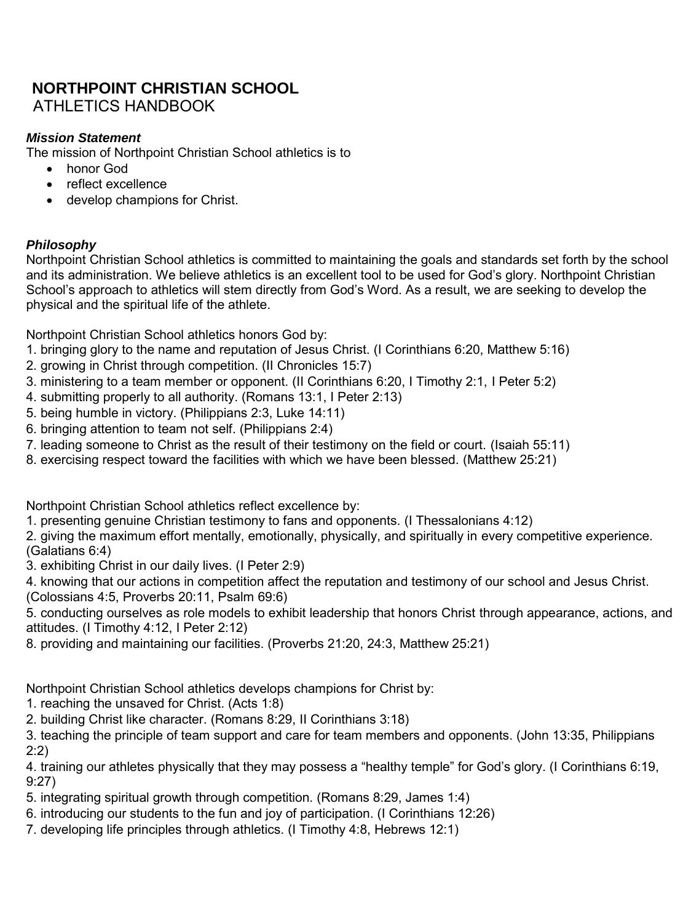# **NORTHPOINT CHRISTIAN SCHOOL**

ATHI FTICS HANDBOOK

# *Mission Statement*

The mission of Northpoint Christian School athletics is to

- honor God
- reflect excellence
- develop champions for Christ.

# *Philosophy*

Northpoint Christian School athletics is committed to maintaining the goals and standards set forth by the school and its administration. We believe athletics is an excellent tool to be used for God's glory. Northpoint Christian School's approach to athletics will stem directly from God's Word. As a result, we are seeking to develop the physical and the spiritual life of the athlete.

Northpoint Christian School athletics honors God by:

- 1. bringing glory to the name and reputation of Jesus Christ. (I Corinthians 6:20, Matthew 5:16)
- 2. growing in Christ through competition. (II Chronicles 15:7)
- 3. ministering to a team member or opponent. (II Corinthians 6:20, I Timothy 2:1, I Peter 5:2)
- 4. submitting properly to all authority. (Romans 13:1, I Peter 2:13)
- 5. being humble in victory. (Philippians 2:3, Luke 14:11)
- 6. bringing attention to team not self. (Philippians 2:4)
- 7. leading someone to Christ as the result of their testimony on the field or court. (Isaiah 55:11)
- 8. exercising respect toward the facilities with which we have been blessed. (Matthew 25:21)

Northpoint Christian School athletics reflect excellence by:

- 1. presenting genuine Christian testimony to fans and opponents. (I Thessalonians 4:12)
- 2. giving the maximum effort mentally, emotionally, physically, and spiritually in every competitive experience. (Galatians 6:4)
- 3. exhibiting Christ in our daily lives. (I Peter 2:9)
- 4. knowing that our actions in competition affect the reputation and testimony of our school and Jesus Christ. (Colossians 4:5, Proverbs 20:11, Psalm 69:6)

5. conducting ourselves as role models to exhibit leadership that honors Christ through appearance, actions, and attitudes. (I Timothy 4:12, I Peter 2:12)

8. providing and maintaining our facilities. (Proverbs 21:20, 24:3, Matthew 25:21)

Northpoint Christian School athletics develops champions for Christ by:

1. reaching the unsaved for Christ. (Acts 1:8)

2. building Christ like character. (Romans 8:29, II Corinthians 3:18)

3. teaching the principle of team support and care for team members and opponents. (John 13:35, Philippians 2:2)

4. training our athletes physically that they may possess a "healthy temple" for God's glory. (I Corinthians 6:19, 9:27)

- 5. integrating spiritual growth through competition. (Romans 8:29, James 1:4)
- 6. introducing our students to the fun and joy of participation. (I Corinthians 12:26)
- 7. developing life principles through athletics. (I Timothy 4:8, Hebrews 12:1)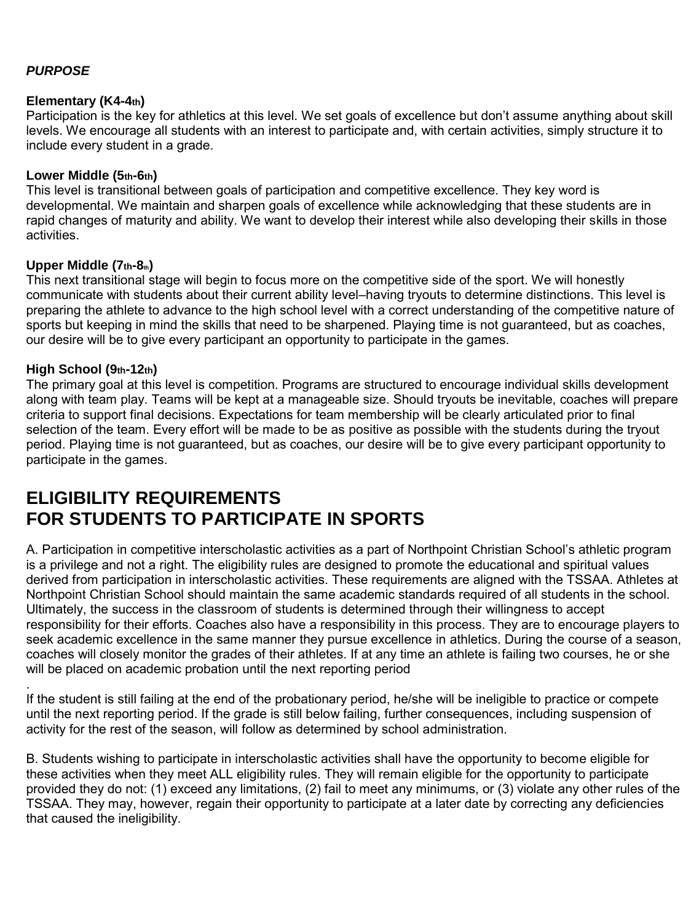#### *PURPOSE*

#### **Elementary (K4-4th)**

Participation is the key for athletics at this level. We set goals of excellence but don't assume anything about skill levels. We encourage all students with an interest to participate and, with certain activities, simply structure it to include every student in a grade.

#### **Lower Middle (5th-6th)**

This level is transitional between goals of participation and competitive excellence. They key word is developmental. We maintain and sharpen goals of excellence while acknowledging that these students are in rapid changes of maturity and ability. We want to develop their interest while also developing their skills in those activities.

#### **Upper Middle (7th-8th)**

This next transitional stage will begin to focus more on the competitive side of the sport. We will honestly communicate with students about their current ability level–having tryouts to determine distinctions. This level is preparing the athlete to advance to the high school level with a correct understanding of the competitive nature of sports but keeping in mind the skills that need to be sharpened. Playing time is not guaranteed, but as coaches, our desire will be to give every participant an opportunity to participate in the games.

#### **High School (9th-12th)**

.

The primary goal at this level is competition. Programs are structured to encourage individual skills development along with team play. Teams will be kept at a manageable size. Should tryouts be inevitable, coaches will prepare criteria to support final decisions. Expectations for team membership will be clearly articulated prior to final selection of the team. Every effort will be made to be as positive as possible with the students during the tryout period. Playing time is not guaranteed, but as coaches, our desire will be to give every participant opportunity to participate in the games.

# **ELIGIBILITY REQUIREMENTS FOR STUDENTS TO PARTICIPATE IN SPORTS**

A. Participation in competitive interscholastic activities as a part of Northpoint Christian School's athletic program is a privilege and not a right. The eligibility rules are designed to promote the educational and spiritual values derived from participation in interscholastic activities. These requirements are aligned with the TSSAA. Athletes at Northpoint Christian School should maintain the same academic standards required of all students in the school. Ultimately, the success in the classroom of students is determined through their willingness to accept responsibility for their efforts. Coaches also have a responsibility in this process. They are to encourage players to seek academic excellence in the same manner they pursue excellence in athletics. During the course of a season, coaches will closely monitor the grades of their athletes. If at any time an athlete is failing two courses, he or she will be placed on academic probation until the next reporting period

If the student is still failing at the end of the probationary period, he/she will be ineligible to practice or compete until the next reporting period. If the grade is still below failing, further consequences, including suspension of activity for the rest of the season, will follow as determined by school administration.

B. Students wishing to participate in interscholastic activities shall have the opportunity to become eligible for these activities when they meet ALL eligibility rules. They will remain eligible for the opportunity to participate provided they do not: (1) exceed any limitations, (2) fail to meet any minimums, or (3) violate any other rules of the TSSAA. They may, however, regain their opportunity to participate at a later date by correcting any deficiencies that caused the ineligibility.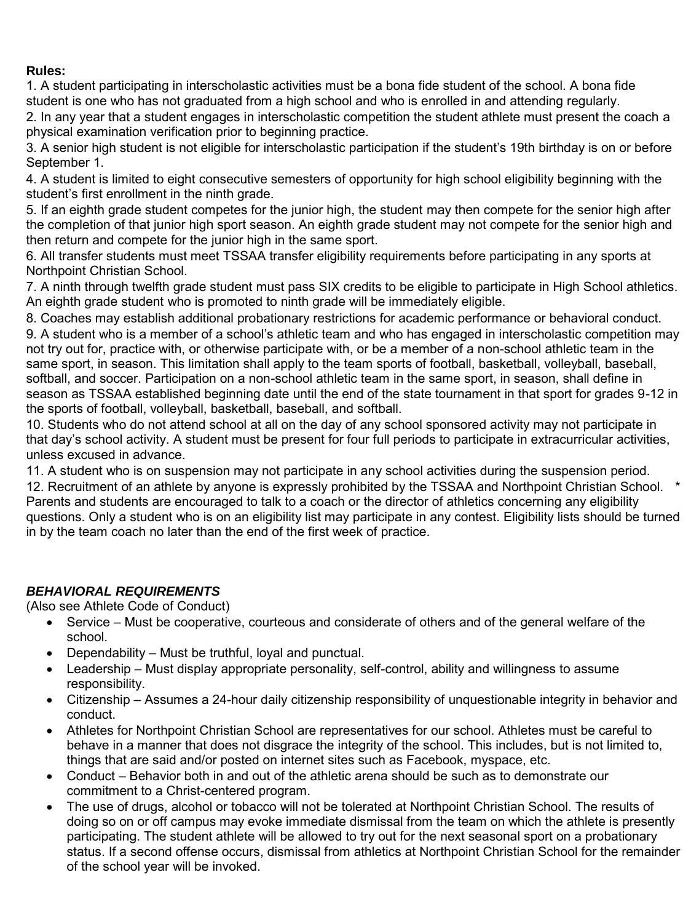## **Rules:**

1. A student participating in interscholastic activities must be a bona fide student of the school. A bona fide student is one who has not graduated from a high school and who is enrolled in and attending regularly.

2. In any year that a student engages in interscholastic competition the student athlete must present the coach a physical examination verification prior to beginning practice.

3. A senior high student is not eligible for interscholastic participation if the student's 19th birthday is on or before September 1.

4. A student is limited to eight consecutive semesters of opportunity for high school eligibility beginning with the student's first enrollment in the ninth grade.

5. If an eighth grade student competes for the junior high, the student may then compete for the senior high after the completion of that junior high sport season. An eighth grade student may not compete for the senior high and then return and compete for the junior high in the same sport.

6. All transfer students must meet TSSAA transfer eligibility requirements before participating in any sports at Northpoint Christian School.

7. A ninth through twelfth grade student must pass SIX credits to be eligible to participate in High School athletics. An eighth grade student who is promoted to ninth grade will be immediately eligible.

8. Coaches may establish additional probationary restrictions for academic performance or behavioral conduct. 9. A student who is a member of a school's athletic team and who has engaged in interscholastic competition may not try out for, practice with, or otherwise participate with, or be a member of a non-school athletic team in the same sport, in season. This limitation shall apply to the team sports of football, basketball, volleyball, baseball, softball, and soccer. Participation on a non-school athletic team in the same sport, in season, shall define in season as TSSAA established beginning date until the end of the state tournament in that sport for grades 9-12 in the sports of football, volleyball, basketball, baseball, and softball.

10. Students who do not attend school at all on the day of any school sponsored activity may not participate in that day's school activity. A student must be present for four full periods to participate in extracurricular activities, unless excused in advance.

11. A student who is on suspension may not participate in any school activities during the suspension period.

12. Recruitment of an athlete by anyone is expressly prohibited by the TSSAA and Northpoint Christian School. \* Parents and students are encouraged to talk to a coach or the director of athletics concerning any eligibility questions. Only a student who is on an eligibility list may participate in any contest. Eligibility lists should be turned in by the team coach no later than the end of the first week of practice.

# *BEHAVIORAL REQUIREMENTS*

(Also see Athlete Code of Conduct)

- Service Must be cooperative, courteous and considerate of others and of the general welfare of the school.
- Dependability Must be truthful, loyal and punctual.
- Leadership Must display appropriate personality, self-control, ability and willingness to assume responsibility.
- Citizenship Assumes a 24-hour daily citizenship responsibility of unquestionable integrity in behavior and conduct.
- Athletes for Northpoint Christian School are representatives for our school. Athletes must be careful to behave in a manner that does not disgrace the integrity of the school. This includes, but is not limited to, things that are said and/or posted on internet sites such as Facebook, myspace, etc.
- Conduct Behavior both in and out of the athletic arena should be such as to demonstrate our commitment to a Christ-centered program.
- The use of drugs, alcohol or tobacco will not be tolerated at Northpoint Christian School. The results of doing so on or off campus may evoke immediate dismissal from the team on which the athlete is presently participating. The student athlete will be allowed to try out for the next seasonal sport on a probationary status. If a second offense occurs, dismissal from athletics at Northpoint Christian School for the remainder of the school year will be invoked.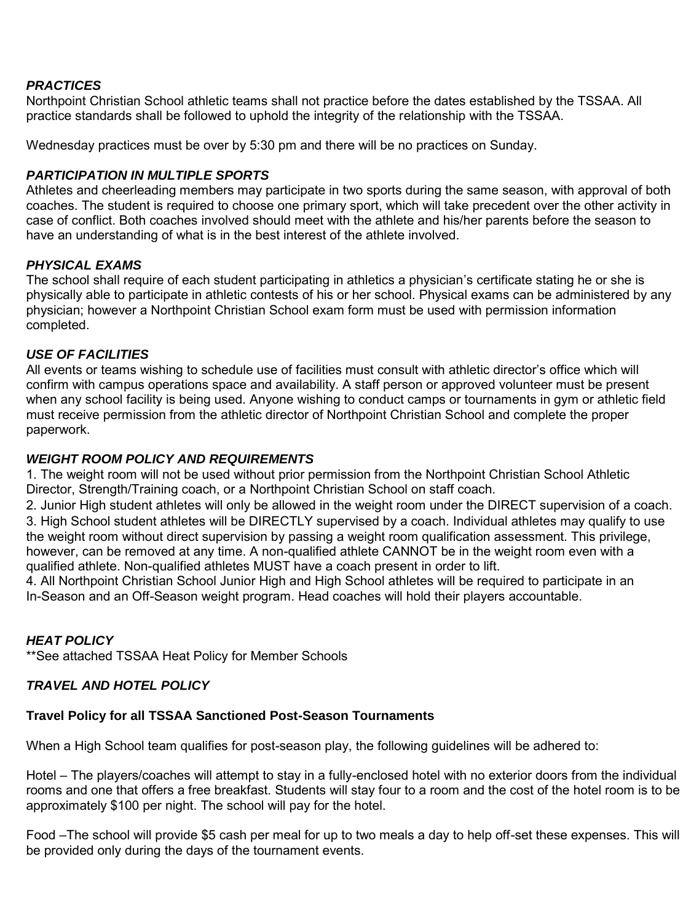#### *PRACTICES*

Northpoint Christian School athletic teams shall not practice before the dates established by the TSSAA. All practice standards shall be followed to uphold the integrity of the relationship with the TSSAA.

Wednesday practices must be over by 5:30 pm and there will be no practices on Sunday.

#### *PARTICIPATION IN MULTIPLE SPORTS*

Athletes and cheerleading members may participate in two sports during the same season, with approval of both coaches. The student is required to choose one primary sport, which will take precedent over the other activity in case of conflict. Both coaches involved should meet with the athlete and his/her parents before the season to have an understanding of what is in the best interest of the athlete involved.

#### *PHYSICAL EXAMS*

The school shall require of each student participating in athletics a physician's certificate stating he or she is physically able to participate in athletic contests of his or her school. Physical exams can be administered by any physician; however a Northpoint Christian School exam form must be used with permission information completed.

#### *USE OF FACILITIES*

All events or teams wishing to schedule use of facilities must consult with athletic director's office which will confirm with campus operations space and availability. A staff person or approved volunteer must be present when any school facility is being used. Anyone wishing to conduct camps or tournaments in gym or athletic field must receive permission from the athletic director of Northpoint Christian School and complete the proper paperwork.

#### *WEIGHT ROOM POLICY AND REQUIREMENTS*

1. The weight room will not be used without prior permission from the Northpoint Christian School Athletic Director, Strength/Training coach, or a Northpoint Christian School on staff coach.

2. Junior High student athletes will only be allowed in the weight room under the DIRECT supervision of a coach. 3. High School student athletes will be DIRECTLY supervised by a coach. Individual athletes may qualify to use the weight room without direct supervision by passing a weight room qualification assessment. This privilege, however, can be removed at any time. A non-qualified athlete CANNOT be in the weight room even with a qualified athlete. Non-qualified athletes MUST have a coach present in order to lift.

4. All Northpoint Christian School Junior High and High School athletes will be required to participate in an In-Season and an Off-Season weight program. Head coaches will hold their players accountable.

## *HEAT POLICY*

\*\*See attached TSSAA Heat Policy for Member Schools

#### *TRAVEL AND HOTEL POLICY*

#### **Travel Policy for all TSSAA Sanctioned Post-Season Tournaments**

When a High School team qualifies for post-season play, the following guidelines will be adhered to:

Hotel – The players/coaches will attempt to stay in a fully-enclosed hotel with no exterior doors from the individual rooms and one that offers a free breakfast. Students will stay four to a room and the cost of the hotel room is to be approximately \$100 per night. The school will pay for the hotel.

Food –The school will provide \$5 cash per meal for up to two meals a day to help off-set these expenses. This will be provided only during the days of the tournament events.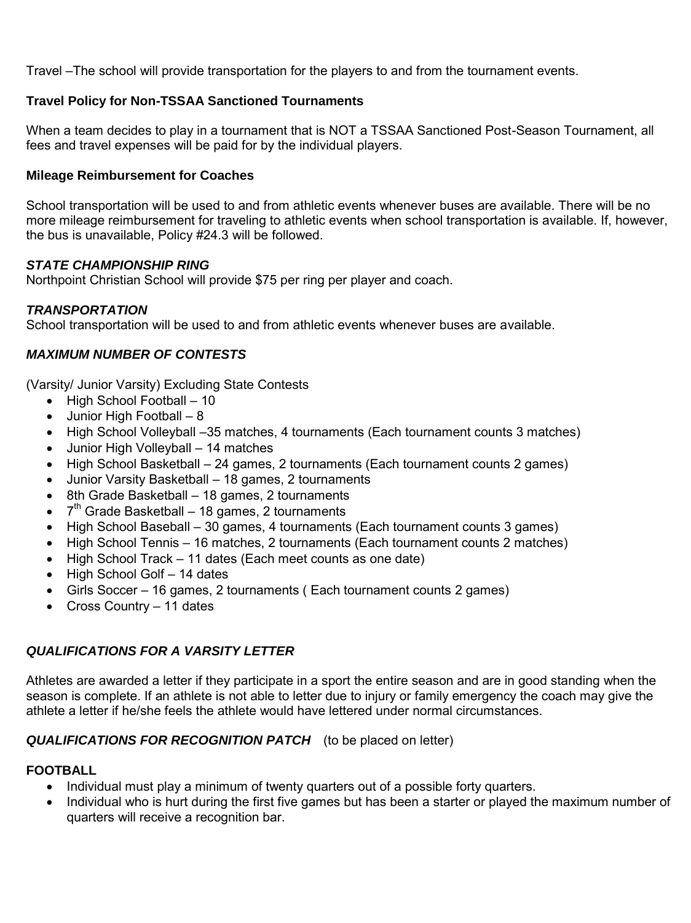Travel –The school will provide transportation for the players to and from the tournament events.

#### **Travel Policy for Non-TSSAA Sanctioned Tournaments**

When a team decides to play in a tournament that is NOT a TSSAA Sanctioned Post-Season Tournament, all fees and travel expenses will be paid for by the individual players.

#### **Mileage Reimbursement for Coaches**

School transportation will be used to and from athletic events whenever buses are available. There will be no more mileage reimbursement for traveling to athletic events when school transportation is available. If, however, the bus is unavailable, Policy #24.3 will be followed.

#### *STATE CHAMPIONSHIP RING*

Northpoint Christian School will provide \$75 per ring per player and coach.

#### *TRANSPORTATION*

School transportation will be used to and from athletic events whenever buses are available.

## *MAXIMUM NUMBER OF CONTESTS*

(Varsity/ Junior Varsity) Excluding State Contests

- High School Football 10
- $\bullet$  Junior High Football 8
- High School Volleyball –35 matches, 4 tournaments (Each tournament counts 3 matches)
- Junior High Volleyball 14 matches
- High School Basketball 24 games, 2 tournaments (Each tournament counts 2 games)
- Junior Varsity Basketball 18 games, 2 tournaments
- 8th Grade Basketball 18 games, 2 tournaments
- $\bullet$   $7<sup>th</sup>$  Grade Basketball 18 games, 2 tournaments
- High School Baseball 30 games, 4 tournaments (Each tournament counts 3 games)
- High School Tennis 16 matches, 2 tournaments (Each tournament counts 2 matches)
- High School Track 11 dates (Each meet counts as one date)
- High School Golf 14 dates
- Girls Soccer 16 games, 2 tournaments ( Each tournament counts 2 games)
- Cross Country 11 dates

## *QUALIFICATIONS FOR A VARSITY LETTER*

Athletes are awarded a letter if they participate in a sport the entire season and are in good standing when the season is complete. If an athlete is not able to letter due to injury or family emergency the coach may give the athlete a letter if he/she feels the athlete would have lettered under normal circumstances.

## *QUALIFICATIONS FOR RECOGNITION PATCH* (to be placed on letter)

#### **FOOTBALL**

- Individual must play a minimum of twenty quarters out of a possible forty quarters.
- Individual who is hurt during the first five games but has been a starter or played the maximum number of quarters will receive a recognition bar.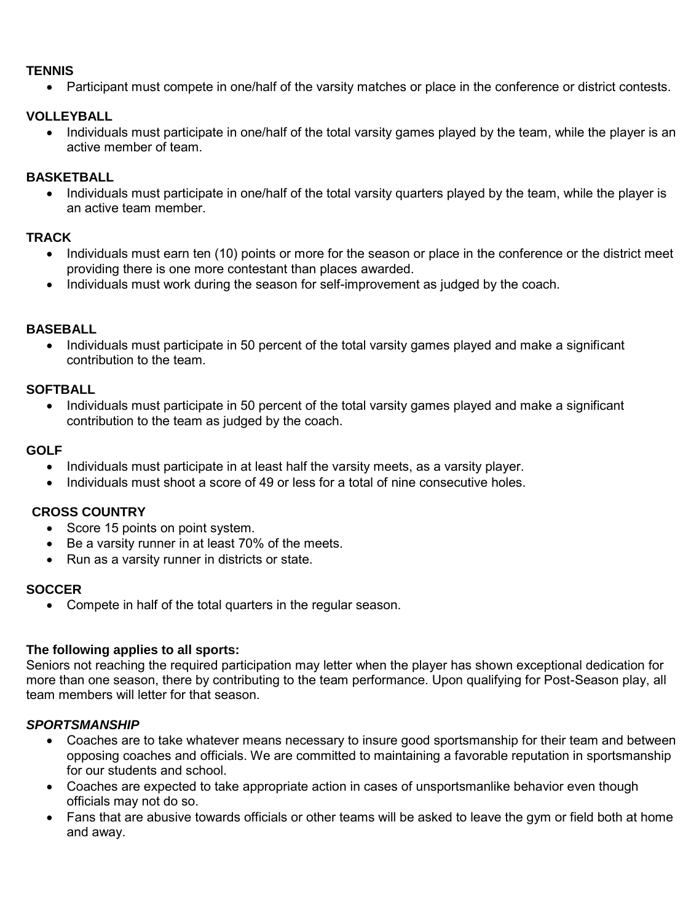#### **TENNIS**

Participant must compete in one/half of the varsity matches or place in the conference or district contests.

#### **VOLLEYBALL**

• Individuals must participate in one/half of the total varsity games played by the team, while the player is an active member of team.

## **BASKETBALL**

• Individuals must participate in one/half of the total varsity quarters played by the team, while the player is an active team member.

#### **TRACK**

- Individuals must earn ten (10) points or more for the season or place in the conference or the district meet providing there is one more contestant than places awarded.
- Individuals must work during the season for self-improvement as judged by the coach.

#### **BASEBALL**

• Individuals must participate in 50 percent of the total varsity games played and make a significant contribution to the team.

#### **SOFTBALL**

• Individuals must participate in 50 percent of the total varsity games played and make a significant contribution to the team as judged by the coach.

#### **GOLF**

- Individuals must participate in at least half the varsity meets, as a varsity player.
- Individuals must shoot a score of 49 or less for a total of nine consecutive holes.

## **CROSS COUNTRY**

- Score 15 points on point system.
- Be a varsity runner in at least 70% of the meets.
- Run as a varsity runner in districts or state.

## **SOCCER**

Compete in half of the total quarters in the regular season.

## **The following applies to all sports:**

Seniors not reaching the required participation may letter when the player has shown exceptional dedication for more than one season, there by contributing to the team performance. Upon qualifying for Post-Season play, all team members will letter for that season.

## *SPORTSMANSHIP*

- Coaches are to take whatever means necessary to insure good sportsmanship for their team and between opposing coaches and officials. We are committed to maintaining a favorable reputation in sportsmanship for our students and school.
- Coaches are expected to take appropriate action in cases of unsportsmanlike behavior even though officials may not do so.
- Fans that are abusive towards officials or other teams will be asked to leave the gym or field both at home and away.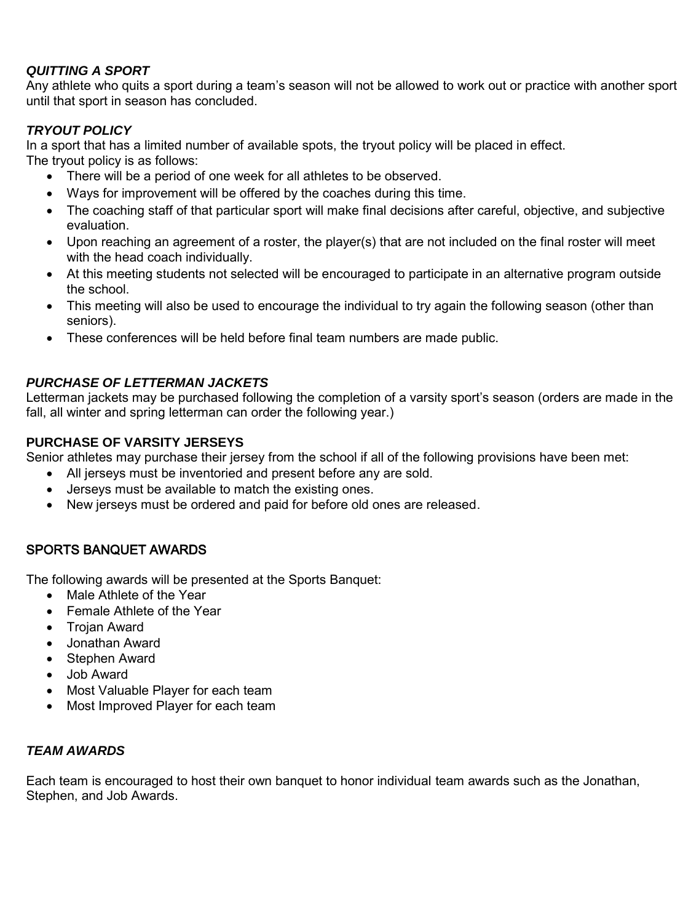## *QUITTING A SPORT*

Any athlete who quits a sport during a team's season will not be allowed to work out or practice with another sport until that sport in season has concluded.

# *TRYOUT POLICY*

In a sport that has a limited number of available spots, the tryout policy will be placed in effect.

The tryout policy is as follows:

- There will be a period of one week for all athletes to be observed.
- Ways for improvement will be offered by the coaches during this time.
- The coaching staff of that particular sport will make final decisions after careful, objective, and subjective evaluation.
- Upon reaching an agreement of a roster, the player(s) that are not included on the final roster will meet with the head coach individually.
- At this meeting students not selected will be encouraged to participate in an alternative program outside the school.
- This meeting will also be used to encourage the individual to try again the following season (other than seniors).
- These conferences will be held before final team numbers are made public.

# *PURCHASE OF LETTERMAN JACKETS*

Letterman jackets may be purchased following the completion of a varsity sport's season (orders are made in the fall, all winter and spring letterman can order the following year.)

## **PURCHASE OF VARSITY JERSEYS**

Senior athletes may purchase their jersey from the school if all of the following provisions have been met:

- All jerseys must be inventoried and present before any are sold.
- Jerseys must be available to match the existing ones.
- New jerseys must be ordered and paid for before old ones are released.

## SPORTS BANQUET AWARDS

The following awards will be presented at the Sports Banquet:

- Male Athlete of the Year
- Female Athlete of the Year
- Trojan Award
- Jonathan Award
- Stephen Award
- Job Award
- Most Valuable Player for each team
- Most Improved Player for each team

#### *TEAM AWARDS*

Each team is encouraged to host their own banquet to honor individual team awards such as the Jonathan, Stephen, and Job Awards.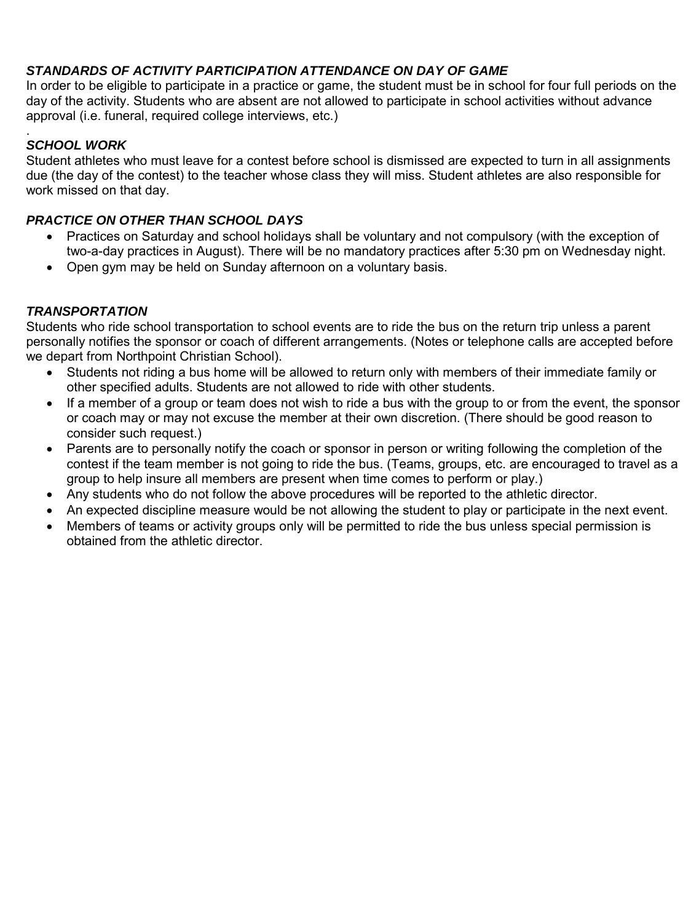## *STANDARDS OF ACTIVITY PARTICIPATION ATTENDANCE ON DAY OF GAME*

In order to be eligible to participate in a practice or game, the student must be in school for four full periods on the day of the activity. Students who are absent are not allowed to participate in school activities without advance approval (i.e. funeral, required college interviews, etc.)

#### . *SCHOOL WORK*

Student athletes who must leave for a contest before school is dismissed are expected to turn in all assignments due (the day of the contest) to the teacher whose class they will miss. Student athletes are also responsible for work missed on that day.

## *PRACTICE ON OTHER THAN SCHOOL DAYS*

- Practices on Saturday and school holidays shall be voluntary and not compulsory (with the exception of two-a-day practices in August). There will be no mandatory practices after 5:30 pm on Wednesday night.
- Open gym may be held on Sunday afternoon on a voluntary basis.

# *TRANSPORTATION*

Students who ride school transportation to school events are to ride the bus on the return trip unless a parent personally notifies the sponsor or coach of different arrangements. (Notes or telephone calls are accepted before we depart from Northpoint Christian School).

- Students not riding a bus home will be allowed to return only with members of their immediate family or other specified adults. Students are not allowed to ride with other students.
- If a member of a group or team does not wish to ride a bus with the group to or from the event, the sponsor or coach may or may not excuse the member at their own discretion. (There should be good reason to consider such request.)
- Parents are to personally notify the coach or sponsor in person or writing following the completion of the contest if the team member is not going to ride the bus. (Teams, groups, etc. are encouraged to travel as a group to help insure all members are present when time comes to perform or play.)
- Any students who do not follow the above procedures will be reported to the athletic director.
- An expected discipline measure would be not allowing the student to play or participate in the next event.
- Members of teams or activity groups only will be permitted to ride the bus unless special permission is obtained from the athletic director.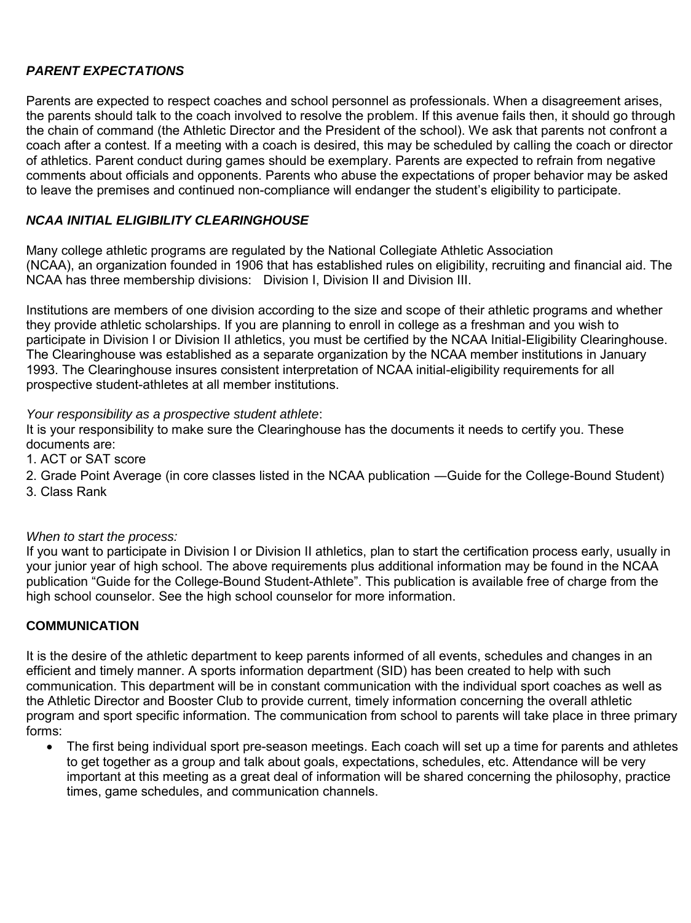## *PARENT EXPECTATIONS*

Parents are expected to respect coaches and school personnel as professionals. When a disagreement arises, the parents should talk to the coach involved to resolve the problem. If this avenue fails then, it should go through the chain of command (the Athletic Director and the President of the school). We ask that parents not confront a coach after a contest. If a meeting with a coach is desired, this may be scheduled by calling the coach or director of athletics. Parent conduct during games should be exemplary. Parents are expected to refrain from negative comments about officials and opponents. Parents who abuse the expectations of proper behavior may be asked to leave the premises and continued non-compliance will endanger the student's eligibility to participate.

#### *NCAA INITIAL ELIGIBILITY CLEARINGHOUSE*

Many college athletic programs are regulated by the National Collegiate Athletic Association (NCAA), an organization founded in 1906 that has established rules on eligibility, recruiting and financial aid. The NCAA has three membership divisions: Division I, Division II and Division III.

Institutions are members of one division according to the size and scope of their athletic programs and whether they provide athletic scholarships. If you are planning to enroll in college as a freshman and you wish to participate in Division I or Division II athletics, you must be certified by the NCAA Initial-Eligibility Clearinghouse. The Clearinghouse was established as a separate organization by the NCAA member institutions in January 1993. The Clearinghouse insures consistent interpretation of NCAA initial-eligibility requirements for all prospective student-athletes at all member institutions.

*Your responsibility as a prospective student athlete*:

It is your responsibility to make sure the Clearinghouse has the documents it needs to certify you. These documents are:

- 1. ACT or SAT score
- 2. Grade Point Average (in core classes listed in the NCAA publication ―Guide for the College-Bound Student)
- 3. Class Rank

*When to start the process:* 

If you want to participate in Division I or Division II athletics, plan to start the certification process early, usually in your junior year of high school. The above requirements plus additional information may be found in the NCAA publication "Guide for the College-Bound Student-Athlete". This publication is available free of charge from the high school counselor. See the high school counselor for more information.

## **COMMUNICATION**

It is the desire of the athletic department to keep parents informed of all events, schedules and changes in an efficient and timely manner. A sports information department (SID) has been created to help with such communication. This department will be in constant communication with the individual sport coaches as well as the Athletic Director and Booster Club to provide current, timely information concerning the overall athletic program and sport specific information. The communication from school to parents will take place in three primary forms:

 The first being individual sport pre-season meetings. Each coach will set up a time for parents and athletes to get together as a group and talk about goals, expectations, schedules, etc. Attendance will be very important at this meeting as a great deal of information will be shared concerning the philosophy, practice times, game schedules, and communication channels.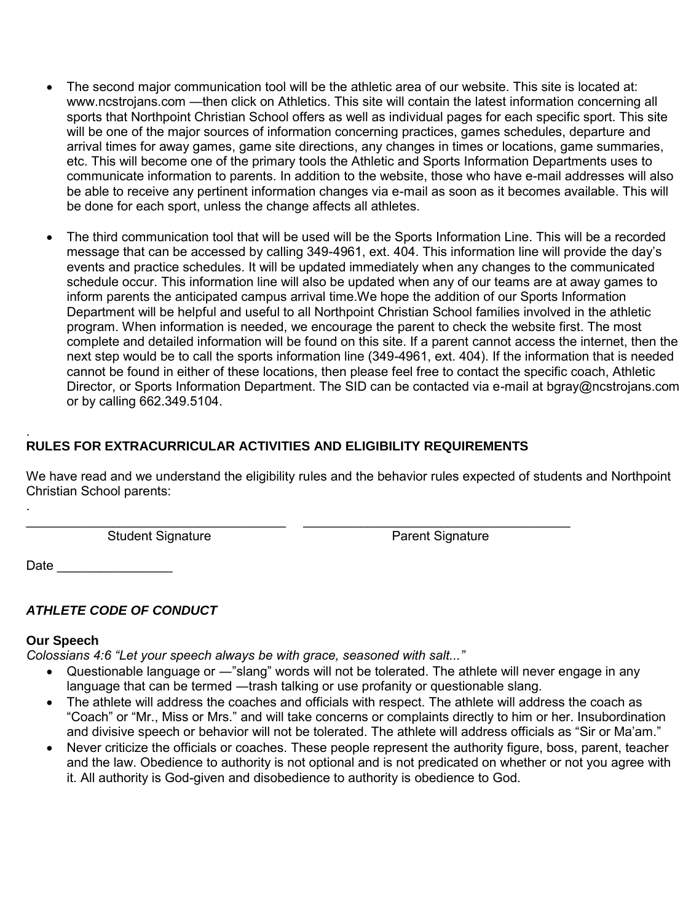- The second major communication tool will be the athletic area of our website. This site is located at: www.ncstrojans.com —then click on Athletics. This site will contain the latest information concerning all sports that Northpoint Christian School offers as well as individual pages for each specific sport. This site will be one of the major sources of information concerning practices, games schedules, departure and arrival times for away games, game site directions, any changes in times or locations, game summaries, etc. This will become one of the primary tools the Athletic and Sports Information Departments uses to communicate information to parents. In addition to the website, those who have e-mail addresses will also be able to receive any pertinent information changes via e-mail as soon as it becomes available. This will be done for each sport, unless the change affects all athletes.
- The third communication tool that will be used will be the Sports Information Line. This will be a recorded message that can be accessed by calling 349-4961, ext. 404. This information line will provide the day's events and practice schedules. It will be updated immediately when any changes to the communicated schedule occur. This information line will also be updated when any of our teams are at away games to inform parents the anticipated campus arrival time.We hope the addition of our Sports Information Department will be helpful and useful to all Northpoint Christian School families involved in the athletic program. When information is needed, we encourage the parent to check the website first. The most complete and detailed information will be found on this site. If a parent cannot access the internet, then the next step would be to call the sports information line (349-4961, ext. 404). If the information that is needed cannot be found in either of these locations, then please feel free to contact the specific coach, Athletic Director, or Sports Information Department. The SID can be contacted via e-mail at bgray@ncstrojans.com or by calling 662.349.5104.

#### . **RULES FOR EXTRACURRICULAR ACTIVITIES AND ELIGIBILITY REQUIREMENTS**

We have read and we understand the eligibility rules and the behavior rules expected of students and Northpoint Christian School parents:

Student Signature Parent Signature

Date  $\Box$ 

.

## *ATHLETE CODE OF CONDUCT*

#### **Our Speech**

*Colossians 4:6 "Let your speech always be with grace, seasoned with salt..."* 

- Questionable language or ―"slang" words will not be tolerated. The athlete will never engage in any language that can be termed —trash talking or use profanity or questionable slang.
- The athlete will address the coaches and officials with respect. The athlete will address the coach as "Coach" or "Mr., Miss or Mrs." and will take concerns or complaints directly to him or her. Insubordination and divisive speech or behavior will not be tolerated. The athlete will address officials as "Sir or Ma'am."
- Never criticize the officials or coaches. These people represent the authority figure, boss, parent, teacher and the law. Obedience to authority is not optional and is not predicated on whether or not you agree with it. All authority is God-given and disobedience to authority is obedience to God.